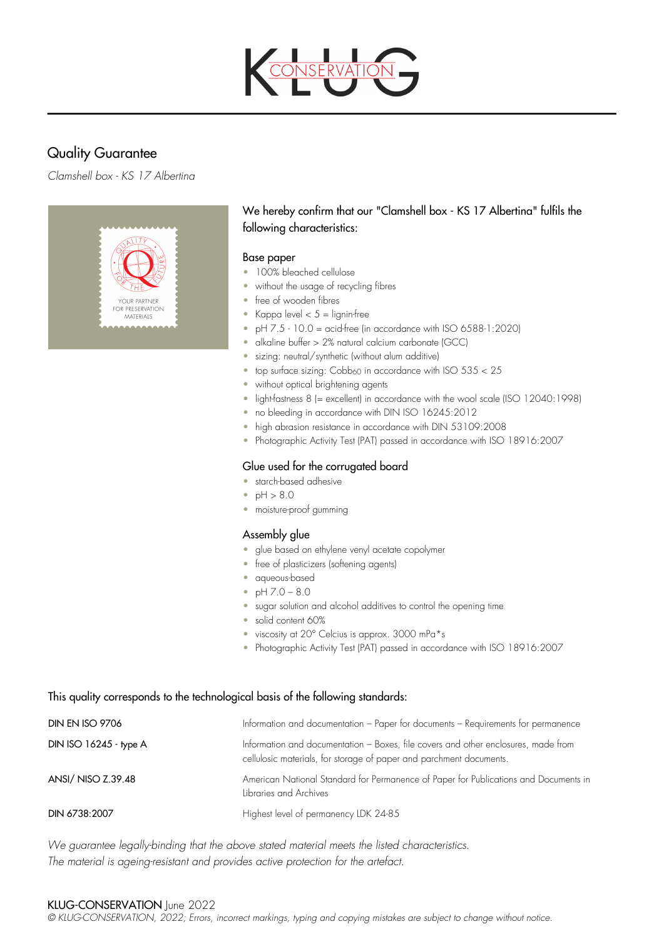

# Quality Guarantee

*Clamshell box - KS 17 Albertina*



# We hereby confirm that our "Clamshell box - KS 17 Albertina" fulfils the following characteristics:

### Base paper

- 100% bleached cellulose
- without the usage of recycling fibres
- free of wooden fibres
- Kappa level  $< 5 =$  lignin-free
- $\bullet$  pH  $7.5 10.0 =$  acid-free (in accordance with ISO 6588-1:2020)
- alkaline buffer > 2% natural calcium carbonate (GCC)
- sizing: neutral/synthetic (without alum additive)
- top surface sizing:  $Cobb_{60}$  in accordance with ISO  $535 < 25$
- without optical brightening agents
- light-fastness 8 (= excellent) in accordance with the wool scale (ISO 12040:1998)
- no bleeding in accordance with DIN ISO 16245:2012
- high abrasion resistance in accordance with DIN 53109:2008
- Photographic Activity Test (PAT) passed in accordance with ISO 18916:2007

# Glue used for the corrugated board

- starch-based adhesive
- $pH > 8.0$
- moisture-proof gumming

# Assembly glue

- glue based on ethylene venyl acetate copolymer
- free of plasticizers (softening agents)
- aqueous-based
- $pH 7.0 8.0$
- sugar solution and alcohol additives to control the opening time
- solid content 60%
- viscosity at 20° Celcius is approx. 3000 mPa\*s
- Photographic Activity Test (PAT) passed in accordance with ISO 18916:2007

### This quality corresponds to the technological basis of the following standards:

| <b>DIN EN ISO 9706</b> | Information and documentation - Paper for documents - Requirements for permanence                                                                         |
|------------------------|-----------------------------------------------------------------------------------------------------------------------------------------------------------|
| DIN ISO 16245 - type A | Information and documentation - Boxes, file covers and other enclosures, made from<br>cellulosic materials, for storage of paper and parchment documents. |
| ANSI/ NISO Z.39.48     | American National Standard for Permanence of Paper for Publications and Documents in<br>Libraries and Archives                                            |
| DIN 6738:2007          | Highest level of permanency LDK 24-85                                                                                                                     |

*We guarantee legally-binding that the above stated material meets the listed characteristics. The material is ageing-resistant and provides active protection for the artefact.*

### KLUG-CONSERVATION June 2022

*© KLUG-CONSERVATION, 2022; Errors, incorrect markings, typing and copying mistakes are subject to change without notice.*